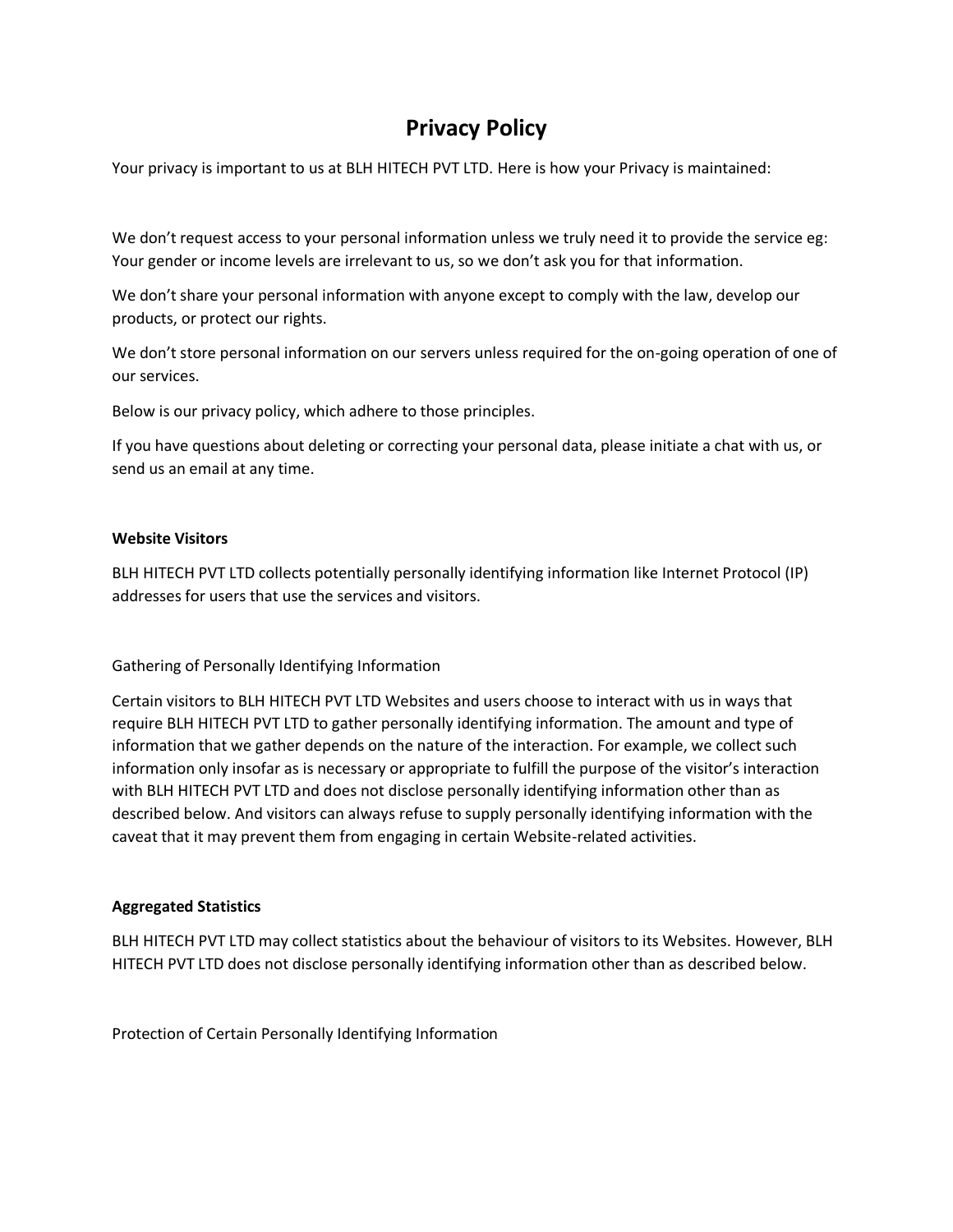# **Privacy Policy**

Your privacy is important to us at BLH HITECH PVT LTD. Here is how your Privacy is maintained:

We don't request access to your personal information unless we truly need it to provide the service eg: Your gender or income levels are irrelevant to us, so we don't ask you for that information.

We don't share your personal information with anyone except to comply with the law, develop our products, or protect our rights.

We don't store personal information on our servers unless required for the on-going operation of one of our services.

Below is our privacy policy, which adhere to those principles.

If you have questions about deleting or correcting your personal data, please initiate a chat with us, or send us an email at any time.

#### **Website Visitors**

BLH HITECH PVT LTD collects potentially personally identifying information like Internet Protocol (IP) addresses for users that use the services and visitors.

Gathering of Personally Identifying Information

Certain visitors to BLH HITECH PVT LTD Websites and users choose to interact with us in ways that require BLH HITECH PVT LTD to gather personally identifying information. The amount and type of information that we gather depends on the nature of the interaction. For example, we collect such information only insofar as is necessary or appropriate to fulfill the purpose of the visitor's interaction with BLH HITECH PVT LTD and does not disclose personally identifying information other than as described below. And visitors can always refuse to supply personally identifying information with the caveat that it may prevent them from engaging in certain Website-related activities.

## **Aggregated Statistics**

BLH HITECH PVT LTD may collect statistics about the behaviour of visitors to its Websites. However, BLH HITECH PVT LTD does not disclose personally identifying information other than as described below.

Protection of Certain Personally Identifying Information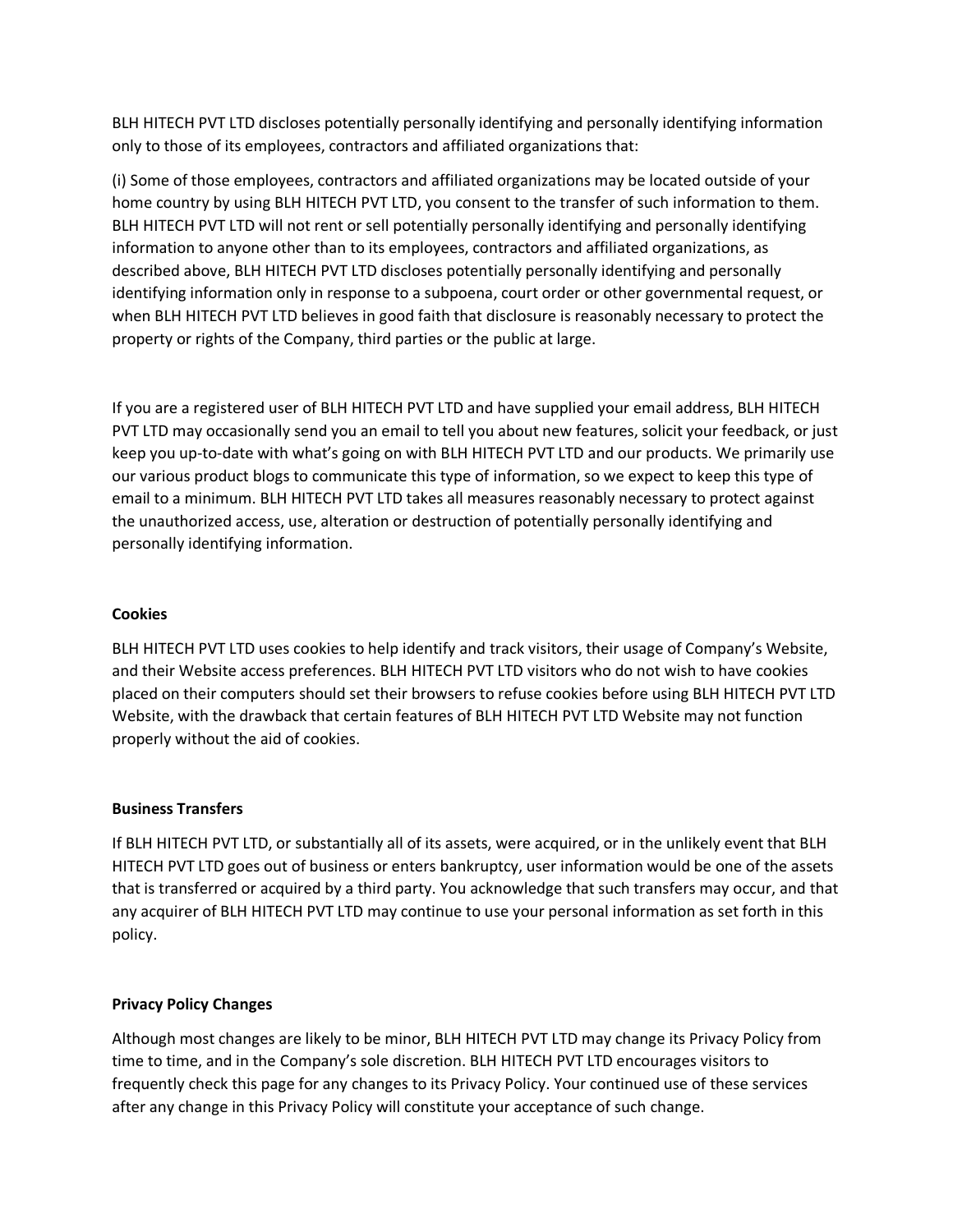BLH HITECH PVT LTD discloses potentially personally identifying and personally identifying information only to those of its employees, contractors and affiliated organizations that:

(i) Some of those employees, contractors and affiliated organizations may be located outside of your home country by using BLH HITECH PVT LTD, you consent to the transfer of such information to them. BLH HITECH PVT LTD will not rent or sell potentially personally identifying and personally identifying information to anyone other than to its employees, contractors and affiliated organizations, as described above, BLH HITECH PVT LTD discloses potentially personally identifying and personally identifying information only in response to a subpoena, court order or other governmental request, or when BLH HITECH PVT LTD believes in good faith that disclosure is reasonably necessary to protect the property or rights of the Company, third parties or the public at large.

If you are a registered user of BLH HITECH PVT LTD and have supplied your email address, BLH HITECH PVT LTD may occasionally send you an email to tell you about new features, solicit your feedback, or just keep you up-to-date with what's going on with BLH HITECH PVT LTD and our products. We primarily use our various product blogs to communicate this type of information, so we expect to keep this type of email to a minimum. BLH HITECH PVT LTD takes all measures reasonably necessary to protect against the unauthorized access, use, alteration or destruction of potentially personally identifying and personally identifying information.

### **Cookies**

BLH HITECH PVT LTD uses cookies to help identify and track visitors, their usage of Company's Website, and their Website access preferences. BLH HITECH PVT LTD visitors who do not wish to have cookies placed on their computers should set their browsers to refuse cookies before using BLH HITECH PVT LTD Website, with the drawback that certain features of BLH HITECH PVT LTD Website may not function properly without the aid of cookies.

#### **Business Transfers**

If BLH HITECH PVT LTD, or substantially all of its assets, were acquired, or in the unlikely event that BLH HITECH PVT LTD goes out of business or enters bankruptcy, user information would be one of the assets that is transferred or acquired by a third party. You acknowledge that such transfers may occur, and that any acquirer of BLH HITECH PVT LTD may continue to use your personal information as set forth in this policy.

#### **Privacy Policy Changes**

Although most changes are likely to be minor, BLH HITECH PVT LTD may change its Privacy Policy from time to time, and in the Company's sole discretion. BLH HITECH PVT LTD encourages visitors to frequently check this page for any changes to its Privacy Policy. Your continued use of these services after any change in this Privacy Policy will constitute your acceptance of such change.